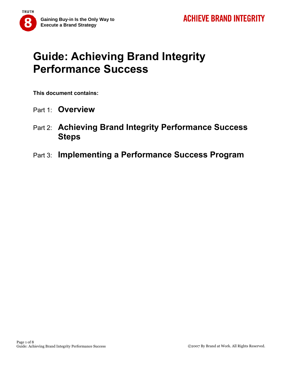# **Guide: Achieving Brand Integrity Performance Success**

**This document contains:** 

- Part 1: **Overview**
- Part 2: **Achieving Brand Integrity Performance Success Steps**
- Part 3: **Implementing a Performance Success Program**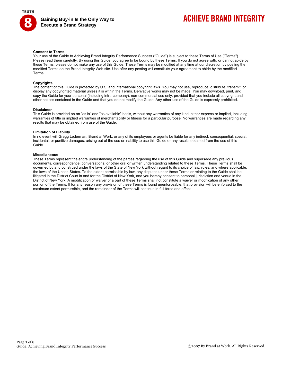

## **ACHIEVE BRAND INTEGRITY**

#### **Consent to Terms**

Your use of the Guide to Achieving Brand Integrity Performance Success ("Guide") is subject to these Terms of Use ("Terms"). Please read them carefully. By using this Guide, you agree to be bound by these Terms. If you do not agree with, or cannot abide by these Terms, please do not make any use of this Guide. These Terms may be modified at any time at our discretion by posting the modified Terms on the Brand Integrity Web site. Use after any posting will constitute your agreement to abide by the modified Terms.

#### **Copyrights**

The content of this Guide is protected by U.S. and international copyright laws. You may not use, reproduce, distribute, transmit, or display any copyrighted material unless it is within the Terms. Derivative works may not be made. You may download, print, and copy the Guide for your personal (including intra-company), non-commercial use only, provided that you include all copyright and other notices contained in the Guide and that you do not modify the Guide. Any other use of the Guide is expressly prohibited.

#### **Disclaimer**

This Guide is provided on an "as is" and "as available" basis, without any warranties of any kind, either express or implied, including warranties of title or implied warranties of merchantability or fitness for a particular purpose. No warranties are made regarding any results that may be obtained from use of the Guide.

#### **Limitation of Liability**

In no event will Gregg Lederman, Brand at Work, or any of its employees or agents be liable for any indirect, consequential, special, incidental, or punitive damages, arising out of the use or inability to use this Guide or any results obtained from the use of this Guide.

#### **Miscellaneous**

These Terms represent the entire understanding of the parties regarding the use of this Guide and supersede any previous documents, correspondence, conversations, or other oral or written understanding related to these Terms. These Terms shall be governed by and construed under the laws of the State of New York without regard to its choice of law, rules, and where applicable, the laws of the United States. To the extent permissible by law, any disputes under these Terms or relating to the Guide shall be litigated in the District Court in and for the District of New York, and you hereby consent to personal jurisdiction and venue in the District of New York. A modification or waiver of a part of these Terms shall not constitute a waiver or modification of any other portion of the Terms. If for any reason any provision of these Terms is found unenforceable, that provision will be enforced to the maximum extent permissible, and the remainder of the Terms will continue in full force and effect.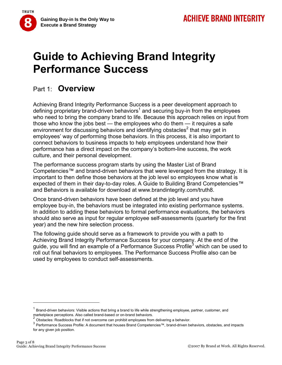**TRUTH** 

# **Guide to Achieving Brand Integrity Performance Success**

### Part 1: **Overview**

Achieving Brand Integrity Performance Success is a peer development approach to defining proprietary brand-driven behaviors<sup>1</sup> and securing buy-in from the employees who need to bring the company brand to life. Because this approach relies on input from those who know the jobs best — the employees who do them — it requires a safe environment for discussing behaviors and identifying obstacles<sup>2</sup> that may get in employees' way of performing those behaviors. In this process, it is also important to connect behaviors to business impacts to help employees understand how their performance has a direct impact on the company's bottom-line success, the work culture, and their personal development.

The performance success program starts by using the Master List of Brand Competencies™ and brand-driven behaviors that were leveraged from the strategy. It is important to then define those behaviors at the job level so employees know what is expected of them in their day-to-day roles. A Guide to Building Brand Competencies™ and Behaviors is available for download at www.brandintegrity.com/truth8.

Once brand-driven behaviors have been defined at the job level and you have employee buy-in, the behaviors must be integrated into existing performance systems. In addition to adding these behaviors to formal performance evaluations, the behaviors should also serve as input for regular employee self-assessments (quarterly for the first year) and the new hire selection process.

The following guide should serve as a framework to provide you with a path to Achieving Brand Integrity Performance Success for your company. At the end of the guide, you will find an example of a Performance Success Profile<sup>3</sup> which can be used to roll out final behaviors to employees. The Performance Success Profile also can be used by employees to conduct self-assessments.

<sup>1</sup> Brand-driven behaviors: Visible actions that bring a brand to life while strengthening employee, partner, customer, and

marketplace perceptions. Also called brand-based or on-brand behaviors.<br><sup>2</sup> Obstacles: Roadblocks that if not overcome can prohibit employees from delivering a behavior.

<sup>3</sup> Performance Success Profile: A document that houses Brand Competencies™, brand-driven behaviors, obstacles, and impacts for any given job position.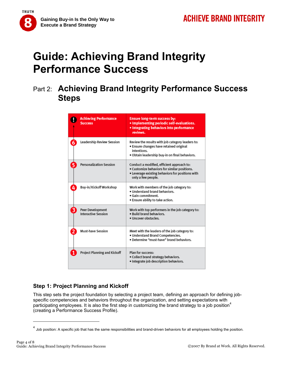

# **Guide: Achieving Brand Integrity Performance Success**

## Part 2: **Achieving Brand Integrity Performance Success Steps**

|   | <b>Achieving Performance</b><br><b>Success</b> | <b>Ensure long-term success by:</b><br>. Implementing periodic self-evaluations.<br>· Integrating behaviors into performance<br>reviews.                             |
|---|------------------------------------------------|----------------------------------------------------------------------------------------------------------------------------------------------------------------------|
|   | Leadership Review Session                      | Review the results with job category leaders to:<br>· Ensure changes have retained original<br>intentions.<br>. Obtain leadership buy-in on final behaviors.         |
|   | <b>Personalization Session</b>                 | Conduct a modified, efficient approach to:<br>. Customize behaviors for similar positions.<br>• Leverage existing behaviors for positions with<br>only a few people. |
| 4 | Buy-in/Kickoff Workshop                        | Work with members of the job category to:<br>. Understand brand behaviors.<br>. Gain commitment.<br>. Ensure ability to take action.                                 |
| 3 | Peer Development<br><b>Interactive Session</b> | Work with top performers in the job category to:<br>. Build brand behaviors.<br>· Uncover obstacles.                                                                 |
|   | <b>Must-have Session</b>                       | Meet with the leaders of the job category to:<br>. Understand Brand Competencies.<br>. Determine "must-have" brand behaviors.                                        |
|   | <b>Project Planning and Kickoff</b>            | Plan for success:<br>. Collect brand strategy behaviors.<br>. Integrate job description behaviors.                                                                   |

### **Step 1: Project Planning and Kickoff**

This step sets the project foundation by selecting a project team, defining an approach for defining jobspecific competencies and behaviors throughout the organization, and setting expectations with participating employees. It is also the first step in customizing the brand strategy to a job position<sup>4</sup> (creating a Performance Success Profile).

 $<sup>4</sup>$  Job position: A specific job that has the same responsibilities and brand-driven behaviors for all employees holding the position.</sup>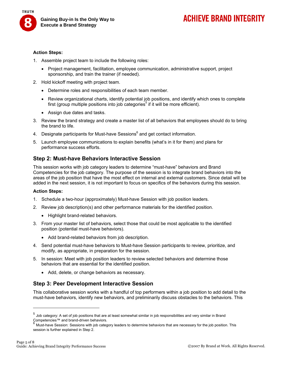

#### **Action Steps:**

- 1. Assemble project team to include the following roles:
	- Project management, facilitation, employee communication, administrative support, project sponsorship, and train the trainer (if needed).
- 2. Hold kickoff meeting with project team.
	- Determine roles and responsibilities of each team member.
	- Review organizational charts, identify potential job positions, and identify which ones to complete first (group multiple positions into job categories<sup>5</sup> if it will be more efficient).
	- Assign due dates and tasks.
- 3. Review the brand strategy and create a master list of all behaviors that employees should do to bring the brand to life.
- 4. Designate participants for Must-have Sessions<sup>6</sup> and get contact information.
- 5. Launch employee communications to explain benefits (what's in it for them) and plans for performance success efforts.

#### **Step 2: Must-have Behaviors Interactive Session**

This session works with job category leaders to determine "must-have" behaviors and Brand Competencies for the job category. The purpose of the session is to integrate brand behaviors into the areas of the job position that have the most effect on internal and external customers. Since detail will be added in the next session, it is not important to focus on specifics of the behaviors during this session.

#### **Action Steps:**

- 1. Schedule a two-hour (approximately) Must-have Session with job position leaders.
- 2. Review job description(s) and other performance materials for the identified position.
	- Highlight brand-related behaviors.
- 3. From your master list of behaviors, select those that could be most applicable to the identified position (potential must-have behaviors).
	- Add brand-related behaviors from job description.
- 4. Send potential must-have behaviors to Must-have Session participants to review, prioritize, and modify, as appropriate, in preparation for the session.
- 5. In session: Meet with job position leaders to review selected behaviors and determine those behaviors that are essential for the identified position.
	- Add, delete, or change behaviors as necessary.

#### **Step 3: Peer Development Interactive Session**

This collaborative session works with a handful of top performers within a job position to add detail to the must-have behaviors, identify new behaviors, and preliminarily discuss obstacles to the behaviors. This

 $<sup>5</sup>$  Job category: A set of job positions that are at least somewhat similar in job responsibilities and very similar in Brand</sup> Competencies™ and brand-driven behaviors.

Must-have Session: Sessions with job category leaders to determine behaviors that are necessary for the job position. This session is further explained in Step 2.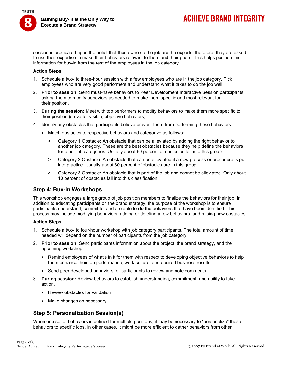

## **ACHIEVE BRAND INTEGRITY**

session is predicated upon the belief that those who do the job are the experts; therefore, they are asked to use their expertise to make their behaviors relevant to them and their peers. This helps position this information for buy-in from the rest of the employees in the job category.

#### **Action Steps:**

- 1. Schedule a two- to three-hour session with a few employees who are in the job category. Pick employees who are very good performers and understand what it takes to do the job well.
- 2. **Prior to session:** Send must-have behaviors to Peer Development Interactive Session participants, asking them to modify behaviors as needed to make them specific and most relevant for their position.
- 3. **During the session:** Meet with top performers to modify behaviors to make them more specific to their position (strive for visible, objective behaviors).
- 4. Identify any obstacles that participants believe prevent them from performing those behaviors.
	- Match obstacles to respective behaviors and categorize as follows:
		- > Category 1 Obstacle: An obstacle that can be alleviated by adding the right behavior to another job category. These are the best obstacles because they help define the behaviors for other job categories. Usually about 60 percent of obstacles fall into this group.
		- > Category 2 Obstacle: An obstacle that can be alleviated if a new process or procedure is put into practice. Usually about 30 percent of obstacles are in this group.
		- > Category 3 Obstacle: An obstacle that is part of the job and cannot be alleviated. Only about 10 percent of obstacles fall into this classification.

#### **Step 4: Buy-in Workshops**

This workshop engages a large group of job position members to finalize the behaviors for their job. In addition to educating participants on the brand strategy, the purpose of the workshop is to ensure participants understand, commit to, and are able to **do** the behaviors that have been identified. This process may include modifying behaviors, adding or deleting a few behaviors, and raising new obstacles.

#### **Action Steps:**

- 1. Schedule a two- to four-hour workshop with job category participants. The total amount of time needed will depend on the number of participants from the job category.
- 2. **Prior to session:** Send participants information about the project, the brand strategy, and the upcoming workshop.
	- Remind employees of what's in it for them with respect to developing objective behaviors to help them enhance their job performance, work culture, and desired business results.
	- Send peer-developed behaviors for participants to review and note comments.
- 3. **During session:** Review behaviors to establish understanding, commitment, and ability to take action.
	- Review obstacles for validation.
	- Make changes as necessary.

#### **Step 5: Personalization Session(s)**

When one set of behaviors is defined for multiple positions, it may be necessary to "personalize" those behaviors to specific jobs. In other cases, it might be more efficient to gather behaviors from other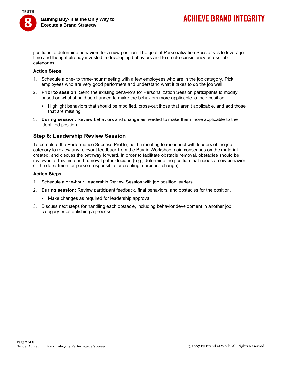

positions to determine behaviors for a new position. The goal of Personalization Sessions is to leverage time and thought already invested in developing behaviors and to create consistency across job categories.

#### **Action Steps:**

- 1. Schedule a one- to three-hour meeting with a few employees who are in the job category. Pick employees who are very good performers and understand what it takes to do the job well.
- 2. **Prior to session:** Send the existing behaviors for Personalization Session participants to modify based on what should be changed to make the behaviors more applicable to their position.
	- Highlight behaviors that should be modified, cross-out those that aren't applicable, and add those that are missing.
- 3. **During session:** Review behaviors and change as needed to make them more applicable to the identified position.

#### **Step 6: Leadership Review Session**

To complete the Performance Success Profile, hold a meeting to reconnect with leaders of the job category to review any relevant feedback from the Buy-in Workshop, gain consensus on the material created, and discuss the pathway forward. In order to facilitate obstacle removal, obstacles should be reviewed at this time and removal paths decided (e.g., determine the position that needs a new behavior, or the department or person responsible for creating a process change).

#### **Action Steps:**

- 1. Schedule a one-hour Leadership Review Session with job position leaders.
- 2. **During session:** Review participant feedback, final behaviors, and obstacles for the position.
	- Make changes as required for leadership approval.
- 3. Discuss next steps for handling each obstacle, including behavior development in another job category or establishing a process.